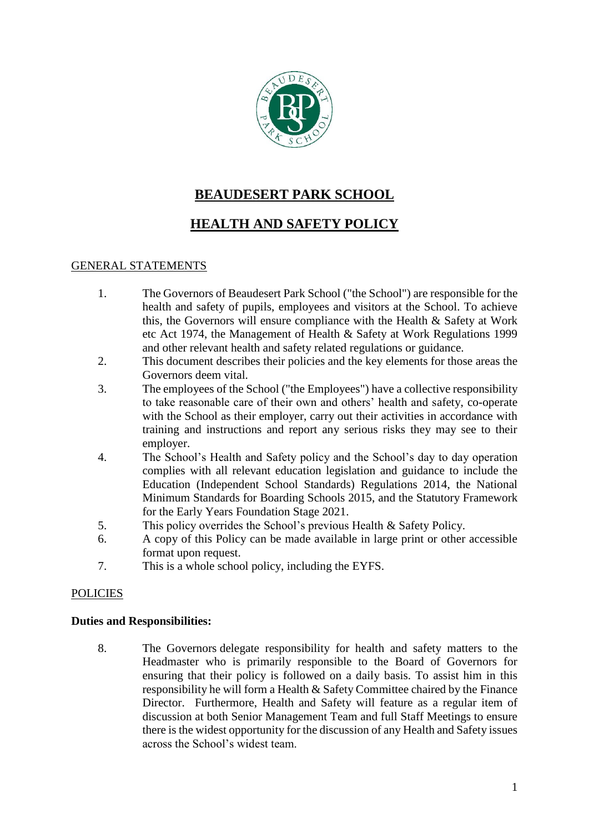

# **BEAUDESERT PARK SCHOOL**

# **HEALTH AND SAFETY POLICY**

# GENERAL STATEMENTS

- 1. The Governors of Beaudesert Park School ("the School") are responsible for the health and safety of pupils, employees and visitors at the School. To achieve this, the Governors will ensure compliance with the Health & Safety at Work etc Act 1974, the Management of Health & Safety at Work Regulations 1999 and other relevant health and safety related regulations or guidance.
- 2. This document describes their policies and the key elements for those areas the Governors deem vital.
- 3. The employees of the School ("the Employees") have a collective responsibility to take reasonable care of their own and others' health and safety, co-operate with the School as their employer, carry out their activities in accordance with training and instructions and report any serious risks they may see to their employer.
- 4. The School's Health and Safety policy and the School's day to day operation complies with all relevant education legislation and guidance to include the Education (Independent School Standards) Regulations 2014, the National Minimum Standards for Boarding Schools 2015, and the Statutory Framework for the Early Years Foundation Stage 2021.
- 5. This policy overrides the School's previous Health & Safety Policy.
- 6. A copy of this Policy can be made available in large print or other accessible format upon request.
- 7. This is a whole school policy, including the EYFS.

# **POLICIES**

# **Duties and Responsibilities:**

8. The Governors delegate responsibility for health and safety matters to the Headmaster who is primarily responsible to the Board of Governors for ensuring that their policy is followed on a daily basis. To assist him in this responsibility he will form a Health & Safety Committee chaired by the Finance Director. Furthermore, Health and Safety will feature as a regular item of discussion at both Senior Management Team and full Staff Meetings to ensure there is the widest opportunity for the discussion of any Health and Safety issues across the School's widest team.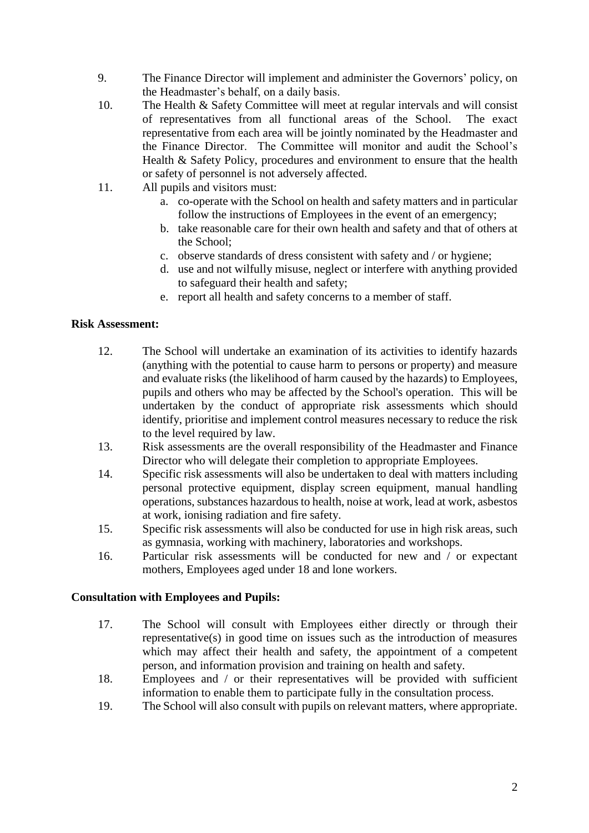- 9. The Finance Director will implement and administer the Governors' policy, on the Headmaster's behalf, on a daily basis.
- 10. The Health & Safety Committee will meet at regular intervals and will consist of representatives from all functional areas of the School. The exact representative from each area will be jointly nominated by the Headmaster and the Finance Director. The Committee will monitor and audit the School's Health & Safety Policy, procedures and environment to ensure that the health or safety of personnel is not adversely affected.
- 11. All pupils and visitors must:
	- a. co-operate with the School on health and safety matters and in particular follow the instructions of Employees in the event of an emergency;
	- b. take reasonable care for their own health and safety and that of others at the School;
	- c. observe standards of dress consistent with safety and / or hygiene;
	- d. use and not wilfully misuse, neglect or interfere with anything provided to safeguard their health and safety;
	- e. report all health and safety concerns to a member of staff.

# **Risk Assessment:**

- 12. The School will undertake an examination of its activities to identify hazards (anything with the potential to cause harm to persons or property) and measure and evaluate risks (the likelihood of harm caused by the hazards) to Employees, pupils and others who may be affected by the School's operation. This will be undertaken by the conduct of appropriate risk assessments which should identify, prioritise and implement control measures necessary to reduce the risk to the level required by law.
- 13. Risk assessments are the overall responsibility of the Headmaster and Finance Director who will delegate their completion to appropriate Employees.
- 14. Specific risk assessments will also be undertaken to deal with matters including personal protective equipment, display screen equipment, manual handling operations, substances hazardous to health, noise at work, lead at work, asbestos at work, ionising radiation and fire safety.
- 15. Specific risk assessments will also be conducted for use in high risk areas, such as gymnasia, working with machinery, laboratories and workshops.
- 16. Particular risk assessments will be conducted for new and / or expectant mothers, Employees aged under 18 and lone workers.

#### **Consultation with Employees and Pupils:**

- 17. The School will consult with Employees either directly or through their representative(s) in good time on issues such as the introduction of measures which may affect their health and safety, the appointment of a competent person, and information provision and training on health and safety.
- 18. Employees and / or their representatives will be provided with sufficient information to enable them to participate fully in the consultation process.
- 19. The School will also consult with pupils on relevant matters, where appropriate.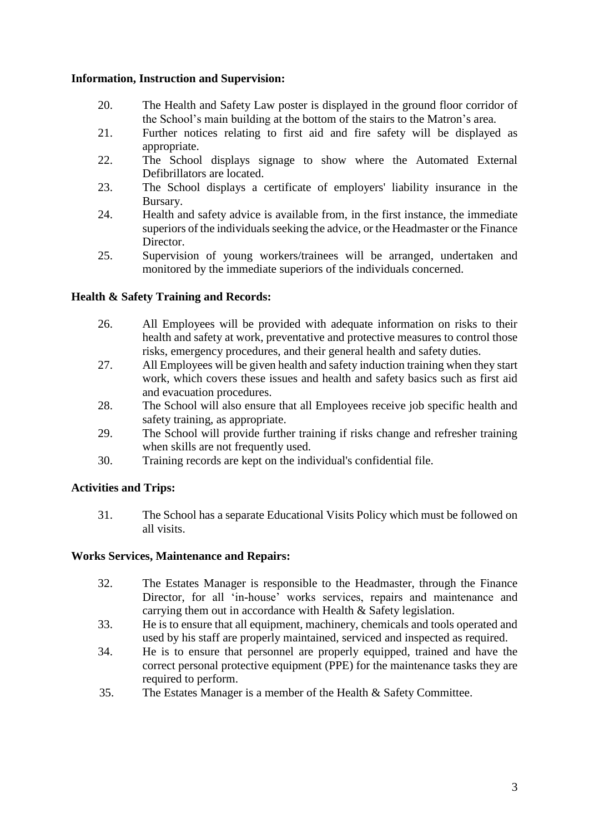## **Information, Instruction and Supervision:**

- 20. The Health and Safety Law poster is displayed in the ground floor corridor of the School's main building at the bottom of the stairs to the Matron's area.
- 21. Further notices relating to first aid and fire safety will be displayed as appropriate.
- 22. The School displays signage to show where the Automated External Defibrillators are located.
- 23. The School displays a certificate of employers' liability insurance in the Bursary.
- 24. Health and safety advice is available from, in the first instance, the immediate superiors of the individuals seeking the advice, or the Headmaster or the Finance Director.
- 25. Supervision of young workers/trainees will be arranged, undertaken and monitored by the immediate superiors of the individuals concerned.

# **Health & Safety Training and Records:**

- 26. All Employees will be provided with adequate information on risks to their health and safety at work, preventative and protective measures to control those risks, emergency procedures, and their general health and safety duties.
- 27. All Employees will be given health and safety induction training when they start work, which covers these issues and health and safety basics such as first aid and evacuation procedures.
- 28. The School will also ensure that all Employees receive job specific health and safety training, as appropriate.
- 29. The School will provide further training if risks change and refresher training when skills are not frequently used.
- 30. Training records are kept on the individual's confidential file.

# **Activities and Trips:**

31. The School has a separate Educational Visits Policy which must be followed on all visits.

#### **Works Services, Maintenance and Repairs:**

- 32. The Estates Manager is responsible to the Headmaster, through the Finance Director, for all 'in-house' works services, repairs and maintenance and carrying them out in accordance with Health & Safety legislation.
- 33. He is to ensure that all equipment, machinery, chemicals and tools operated and used by his staff are properly maintained, serviced and inspected as required.
- 34. He is to ensure that personnel are properly equipped, trained and have the correct personal protective equipment (PPE) for the maintenance tasks they are required to perform.
- 35. The Estates Manager is a member of the Health & Safety Committee.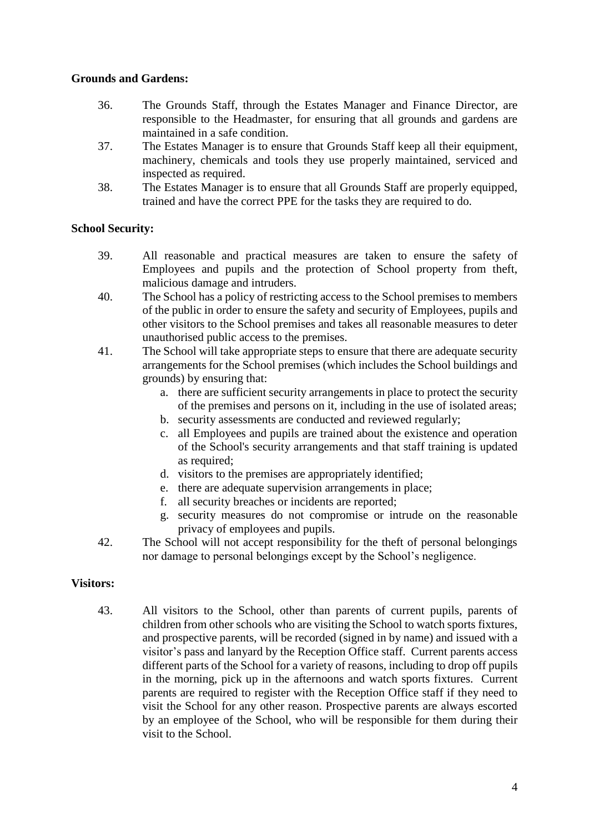## **Grounds and Gardens:**

- 36. The Grounds Staff, through the Estates Manager and Finance Director, are responsible to the Headmaster, for ensuring that all grounds and gardens are maintained in a safe condition.
- 37. The Estates Manager is to ensure that Grounds Staff keep all their equipment, machinery, chemicals and tools they use properly maintained, serviced and inspected as required.
- 38. The Estates Manager is to ensure that all Grounds Staff are properly equipped, trained and have the correct PPE for the tasks they are required to do.

## **School Security:**

- 39. All reasonable and practical measures are taken to ensure the safety of Employees and pupils and the protection of School property from theft, malicious damage and intruders.
- 40. The School has a policy of restricting access to the School premises to members of the public in order to ensure the safety and security of Employees, pupils and other visitors to the School premises and takes all reasonable measures to deter unauthorised public access to the premises.
- 41. The School will take appropriate steps to ensure that there are adequate security arrangements for the School premises (which includes the School buildings and grounds) by ensuring that:
	- a. there are sufficient security arrangements in place to protect the security of the premises and persons on it, including in the use of isolated areas;
	- b. security assessments are conducted and reviewed regularly;
	- c. all Employees and pupils are trained about the existence and operation of the School's security arrangements and that staff training is updated as required;
	- d. visitors to the premises are appropriately identified;
	- e. there are adequate supervision arrangements in place;
	- f. all security breaches or incidents are reported;
	- g. security measures do not compromise or intrude on the reasonable privacy of employees and pupils.
- 42. The School will not accept responsibility for the theft of personal belongings nor damage to personal belongings except by the School's negligence.

#### **Visitors:**

43. All visitors to the School, other than parents of current pupils, parents of children from other schools who are visiting the School to watch sports fixtures, and prospective parents, will be recorded (signed in by name) and issued with a visitor's pass and lanyard by the Reception Office staff. Current parents access different parts of the School for a variety of reasons, including to drop off pupils in the morning, pick up in the afternoons and watch sports fixtures. Current parents are required to register with the Reception Office staff if they need to visit the School for any other reason. Prospective parents are always escorted by an employee of the School, who will be responsible for them during their visit to the School.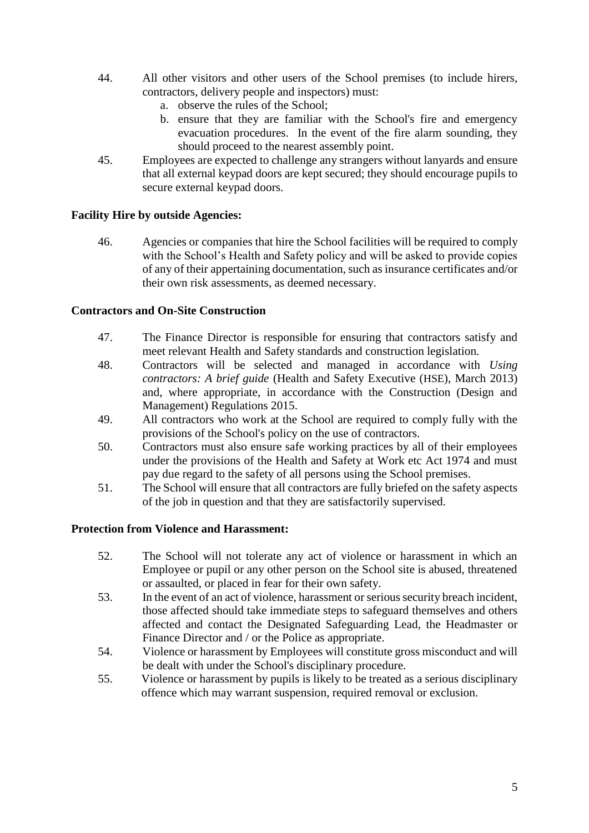- 44. All other visitors and other users of the School premises (to include hirers, contractors, delivery people and inspectors) must:
	- a. observe the rules of the School;
	- b. ensure that they are familiar with the School's fire and emergency evacuation procedures. In the event of the fire alarm sounding, they should proceed to the nearest assembly point.
- 45. Employees are expected to challenge any strangers without lanyards and ensure that all external keypad doors are kept secured; they should encourage pupils to secure external keypad doors.

## **Facility Hire by outside Agencies:**

46. Agencies or companies that hire the School facilities will be required to comply with the School's Health and Safety policy and will be asked to provide copies of any of their appertaining documentation, such as insurance certificates and/or their own risk assessments, as deemed necessary.

## **Contractors and On-Site Construction**

- 47. The Finance Director is responsible for ensuring that contractors satisfy and meet relevant Health and Safety standards and construction legislation.
- 48. Contractors will be selected and managed in accordance with *Using contractors: A brief guide* (Health and Safety Executive (HSE), March 2013) and, where appropriate, in accordance with the Construction (Design and Management) Regulations 2015.
- 49. All contractors who work at the School are required to comply fully with the provisions of the School's policy on the use of contractors.
- 50. Contractors must also ensure safe working practices by all of their employees under the provisions of the Health and Safety at Work etc Act 1974 and must pay due regard to the safety of all persons using the School premises.
- 51. The School will ensure that all contractors are fully briefed on the safety aspects of the job in question and that they are satisfactorily supervised.

#### **Protection from Violence and Harassment:**

- 52. The School will not tolerate any act of violence or harassment in which an Employee or pupil or any other person on the School site is abused, threatened or assaulted, or placed in fear for their own safety.
- 53. In the event of an act of violence, harassment or serious security breach incident, those affected should take immediate steps to safeguard themselves and others affected and contact the Designated Safeguarding Lead, the Headmaster or Finance Director and / or the Police as appropriate.
- 54. Violence or harassment by Employees will constitute gross misconduct and will be dealt with under the School's disciplinary procedure.
- 55. Violence or harassment by pupils is likely to be treated as a serious disciplinary offence which may warrant suspension, required removal or exclusion.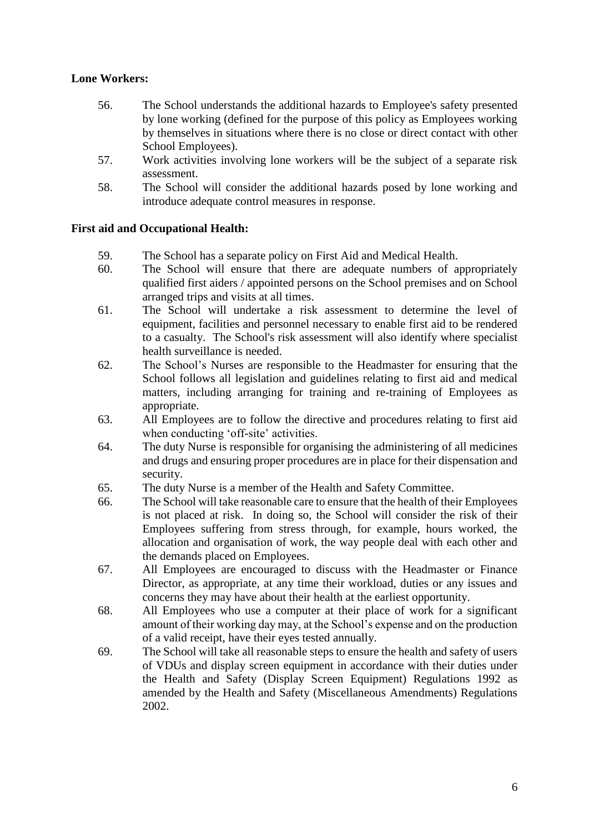# **Lone Workers:**

- 56. The School understands the additional hazards to Employee's safety presented by lone working (defined for the purpose of this policy as Employees working by themselves in situations where there is no close or direct contact with other School Employees).
- 57. Work activities involving lone workers will be the subject of a separate risk assessment.
- 58. The School will consider the additional hazards posed by lone working and introduce adequate control measures in response.

# **First aid and Occupational Health:**

- 59. The School has a separate policy on First Aid and Medical Health.
- 60. The School will ensure that there are adequate numbers of appropriately qualified first aiders / appointed persons on the School premises and on School arranged trips and visits at all times.
- 61. The School will undertake a risk assessment to determine the level of equipment, facilities and personnel necessary to enable first aid to be rendered to a casualty. The School's risk assessment will also identify where specialist health surveillance is needed.
- 62. The School's Nurses are responsible to the Headmaster for ensuring that the School follows all legislation and guidelines relating to first aid and medical matters, including arranging for training and re-training of Employees as appropriate.
- 63. All Employees are to follow the directive and procedures relating to first aid when conducting 'off-site' activities.
- 64. The duty Nurse is responsible for organising the administering of all medicines and drugs and ensuring proper procedures are in place for their dispensation and security.
- 65. The duty Nurse is a member of the Health and Safety Committee.
- 66. The School will take reasonable care to ensure that the health of their Employees is not placed at risk. In doing so, the School will consider the risk of their Employees suffering from stress through, for example, hours worked, the allocation and organisation of work, the way people deal with each other and the demands placed on Employees.
- 67. All Employees are encouraged to discuss with the Headmaster or Finance Director, as appropriate, at any time their workload, duties or any issues and concerns they may have about their health at the earliest opportunity.
- 68. All Employees who use a computer at their place of work for a significant amount of their working day may, at the School's expense and on the production of a valid receipt, have their eyes tested annually.
- 69. The School will take all reasonable steps to ensure the health and safety of users of VDUs and display screen equipment in accordance with their duties under the Health and Safety (Display Screen Equipment) Regulations 1992 as amended by the Health and Safety (Miscellaneous Amendments) Regulations 2002.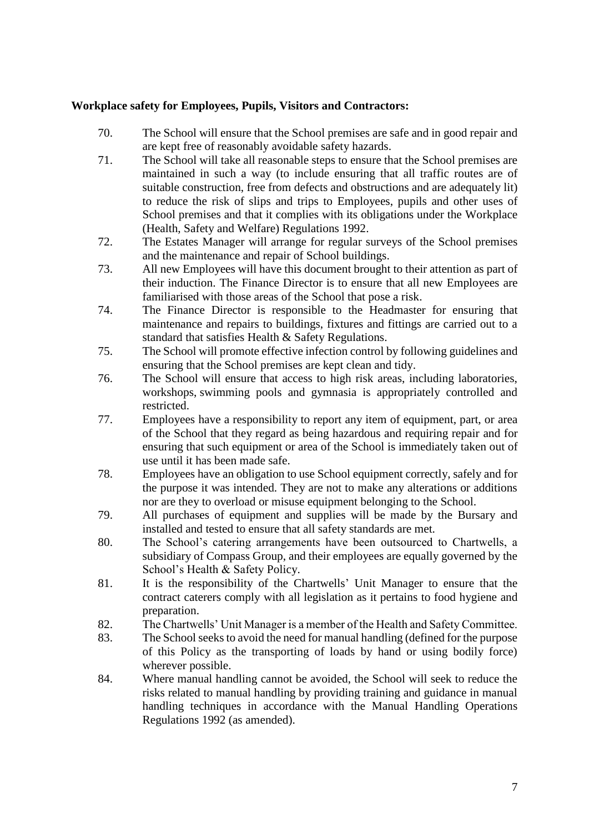## **Workplace safety for Employees, Pupils, Visitors and Contractors:**

- 70. The School will ensure that the School premises are safe and in good repair and are kept free of reasonably avoidable safety hazards.
- 71. The School will take all reasonable steps to ensure that the School premises are maintained in such a way (to include ensuring that all traffic routes are of suitable construction, free from defects and obstructions and are adequately lit) to reduce the risk of slips and trips to Employees, pupils and other uses of School premises and that it complies with its obligations under the Workplace (Health, Safety and Welfare) Regulations 1992.
- 72. The Estates Manager will arrange for regular surveys of the School premises and the maintenance and repair of School buildings.
- 73. All new Employees will have this document brought to their attention as part of their induction. The Finance Director is to ensure that all new Employees are familiarised with those areas of the School that pose a risk.
- 74. The Finance Director is responsible to the Headmaster for ensuring that maintenance and repairs to buildings, fixtures and fittings are carried out to a standard that satisfies Health & Safety Regulations.
- 75. The School will promote effective infection control by following guidelines and ensuring that the School premises are kept clean and tidy.
- 76. The School will ensure that access to high risk areas, including laboratories, workshops, swimming pools and gymnasia is appropriately controlled and restricted.
- 77. Employees have a responsibility to report any item of equipment, part, or area of the School that they regard as being hazardous and requiring repair and for ensuring that such equipment or area of the School is immediately taken out of use until it has been made safe.
- 78. Employees have an obligation to use School equipment correctly, safely and for the purpose it was intended. They are not to make any alterations or additions nor are they to overload or misuse equipment belonging to the School.
- 79. All purchases of equipment and supplies will be made by the Bursary and installed and tested to ensure that all safety standards are met.
- 80. The School's catering arrangements have been outsourced to Chartwells, a subsidiary of Compass Group, and their employees are equally governed by the School's Health & Safety Policy.
- 81. It is the responsibility of the Chartwells' Unit Manager to ensure that the contract caterers comply with all legislation as it pertains to food hygiene and preparation.
- 82. The Chartwells' Unit Manager is a member of the Health and Safety Committee.
- 83. The School seeks to avoid the need for manual handling (defined for the purpose of this Policy as the transporting of loads by hand or using bodily force) wherever possible.
- 84. Where manual handling cannot be avoided, the School will seek to reduce the risks related to manual handling by providing training and guidance in manual handling techniques in accordance with the Manual Handling Operations Regulations 1992 (as amended).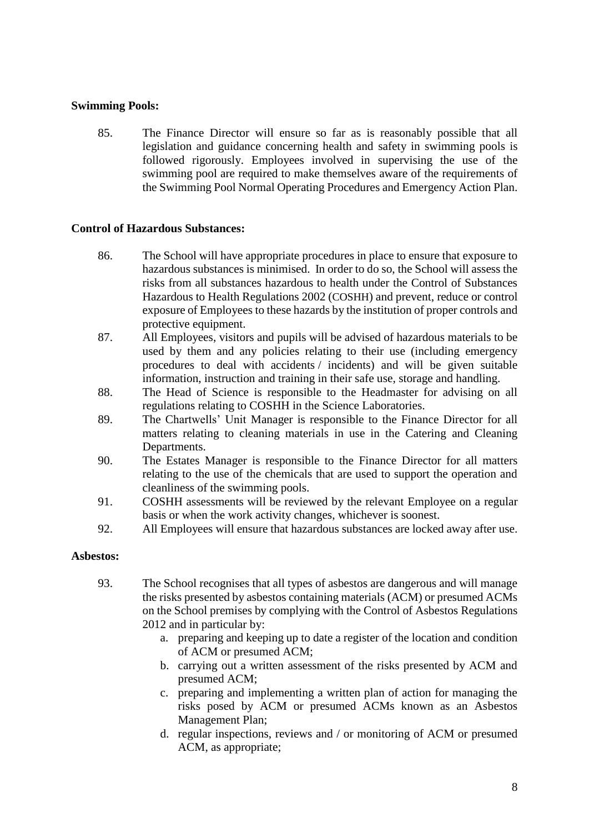## **Swimming Pools:**

85. The Finance Director will ensure so far as is reasonably possible that all legislation and guidance concerning health and safety in swimming pools is followed rigorously. Employees involved in supervising the use of the swimming pool are required to make themselves aware of the requirements of the Swimming Pool Normal Operating Procedures and Emergency Action Plan.

#### **Control of Hazardous Substances:**

- 86. The School will have appropriate procedures in place to ensure that exposure to hazardous substances is minimised. In order to do so, the School will assess the risks from all substances hazardous to health under the Control of Substances Hazardous to Health Regulations 2002 (COSHH) and prevent, reduce or control exposure of Employees to these hazards by the institution of proper controls and protective equipment.
- 87. All Employees, visitors and pupils will be advised of hazardous materials to be used by them and any policies relating to their use (including emergency procedures to deal with accidents / incidents) and will be given suitable information, instruction and training in their safe use, storage and handling.
- 88. The Head of Science is responsible to the Headmaster for advising on all regulations relating to COSHH in the Science Laboratories.
- 89. The Chartwells' Unit Manager is responsible to the Finance Director for all matters relating to cleaning materials in use in the Catering and Cleaning Departments.
- 90. The Estates Manager is responsible to the Finance Director for all matters relating to the use of the chemicals that are used to support the operation and cleanliness of the swimming pools.
- 91. COSHH assessments will be reviewed by the relevant Employee on a regular basis or when the work activity changes, whichever is soonest.
- 92. All Employees will ensure that hazardous substances are locked away after use.

#### **Asbestos:**

- 93. The School recognises that all types of asbestos are dangerous and will manage the risks presented by asbestos containing materials (ACM) or presumed ACMs on the School premises by complying with the Control of Asbestos Regulations 2012 and in particular by:
	- a. preparing and keeping up to date a register of the location and condition of ACM or presumed ACM;
	- b. carrying out a written assessment of the risks presented by ACM and presumed ACM;
	- c. preparing and implementing a written plan of action for managing the risks posed by ACM or presumed ACMs known as an Asbestos Management Plan;
	- d. regular inspections, reviews and / or monitoring of ACM or presumed ACM, as appropriate;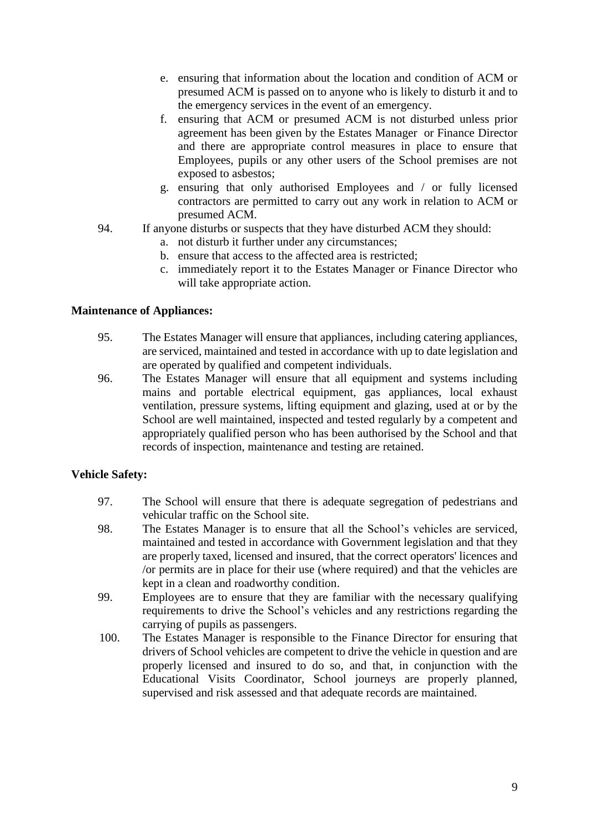- e. ensuring that information about the location and condition of ACM or presumed ACM is passed on to anyone who is likely to disturb it and to the emergency services in the event of an emergency.
- f. ensuring that ACM or presumed ACM is not disturbed unless prior agreement has been given by the Estates Manager or Finance Director and there are appropriate control measures in place to ensure that Employees, pupils or any other users of the School premises are not exposed to asbestos;
- g. ensuring that only authorised Employees and / or fully licensed contractors are permitted to carry out any work in relation to ACM or presumed ACM.
- 94. If anyone disturbs or suspects that they have disturbed ACM they should:
	- a. not disturb it further under any circumstances;
	- b. ensure that access to the affected area is restricted;
	- c. immediately report it to the Estates Manager or Finance Director who will take appropriate action.

## **Maintenance of Appliances:**

- 95. The Estates Manager will ensure that appliances, including catering appliances, are serviced, maintained and tested in accordance with up to date legislation and are operated by qualified and competent individuals.
- 96. The Estates Manager will ensure that all equipment and systems including mains and portable electrical equipment, gas appliances, local exhaust ventilation, pressure systems, lifting equipment and glazing, used at or by the School are well maintained, inspected and tested regularly by a competent and appropriately qualified person who has been authorised by the School and that records of inspection, maintenance and testing are retained.

# **Vehicle Safety:**

- 97. The School will ensure that there is adequate segregation of pedestrians and vehicular traffic on the School site.
- 98. The Estates Manager is to ensure that all the School's vehicles are serviced, maintained and tested in accordance with Government legislation and that they are properly taxed, licensed and insured, that the correct operators' licences and /or permits are in place for their use (where required) and that the vehicles are kept in a clean and roadworthy condition.
- 99. Employees are to ensure that they are familiar with the necessary qualifying requirements to drive the School's vehicles and any restrictions regarding the carrying of pupils as passengers.
- 100. The Estates Manager is responsible to the Finance Director for ensuring that drivers of School vehicles are competent to drive the vehicle in question and are properly licensed and insured to do so, and that, in conjunction with the Educational Visits Coordinator, School journeys are properly planned, supervised and risk assessed and that adequate records are maintained.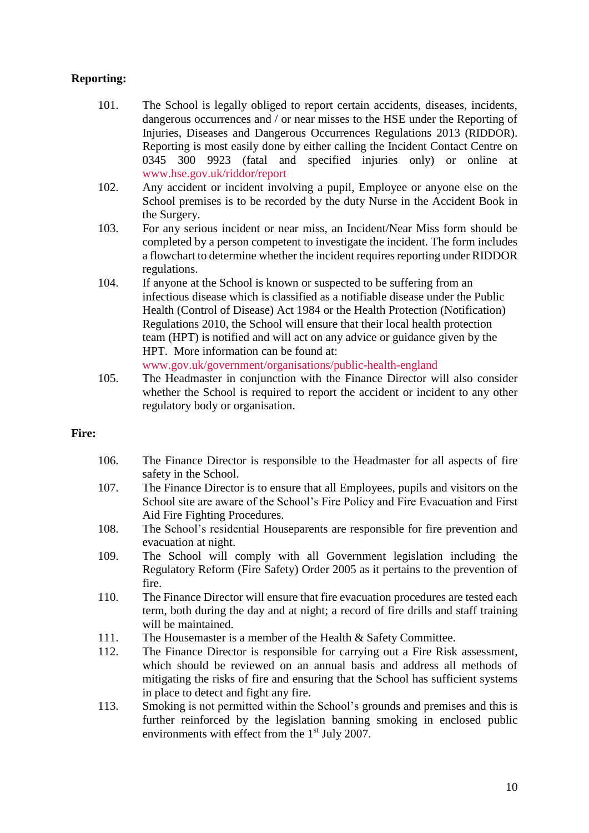# **Reporting:**

- 101. The School is legally obliged to report certain accidents, diseases, incidents, dangerous occurrences and / or near misses to the HSE under the Reporting of Injuries, Diseases and Dangerous Occurrences Regulations 2013 (RIDDOR). Reporting is most easily done by either calling the Incident Contact Centre on 0345 300 9923 (fatal and specified injuries only) or online at [www.hse.gov.uk/riddor/report](http://www.hse.gov.uk/riddor/report)
- 102. Any accident or incident involving a pupil, Employee or anyone else on the School premises is to be recorded by the duty Nurse in the Accident Book in the Surgery.
- 103. For any serious incident or near miss, an Incident/Near Miss form should be completed by a person competent to investigate the incident. The form includes a flowchart to determine whether the incident requires reporting under RIDDOR regulations.
- 104. If anyone at the School is known or suspected to be suffering from an infectious disease which is classified as a notifiable disease under the Public Health (Control of Disease) Act 1984 or the Health Protection (Notification) Regulations 2010, the School will ensure that their local health protection team (HPT) is notified and will act on any advice or guidance given by the HPT. More information can be found at: [www.gov.uk/government/organisations/public-health-england](http://www.gov.uk/government/organisations/public-health-england)
- 105. The Headmaster in conjunction with the Finance Director will also consider whether the School is required to report the accident or incident to any other regulatory body or organisation.

#### **Fire:**

- 106. The Finance Director is responsible to the Headmaster for all aspects of fire safety in the School.
- 107. The Finance Director is to ensure that all Employees, pupils and visitors on the School site are aware of the School's Fire Policy and Fire Evacuation and First Aid Fire Fighting Procedures.
- 108. The School's residential Houseparents are responsible for fire prevention and evacuation at night.
- 109. The School will comply with all Government legislation including the Regulatory Reform (Fire Safety) Order 2005 as it pertains to the prevention of fire.
- 110. The Finance Director will ensure that fire evacuation procedures are tested each term, both during the day and at night; a record of fire drills and staff training will be maintained.
- 111. The Housemaster is a member of the Health & Safety Committee.
- 112. The Finance Director is responsible for carrying out a Fire Risk assessment, which should be reviewed on an annual basis and address all methods of mitigating the risks of fire and ensuring that the School has sufficient systems in place to detect and fight any fire.
- 113. Smoking is not permitted within the School's grounds and premises and this is further reinforced by the legislation banning smoking in enclosed public environments with effect from the  $1<sup>st</sup>$  July 2007.